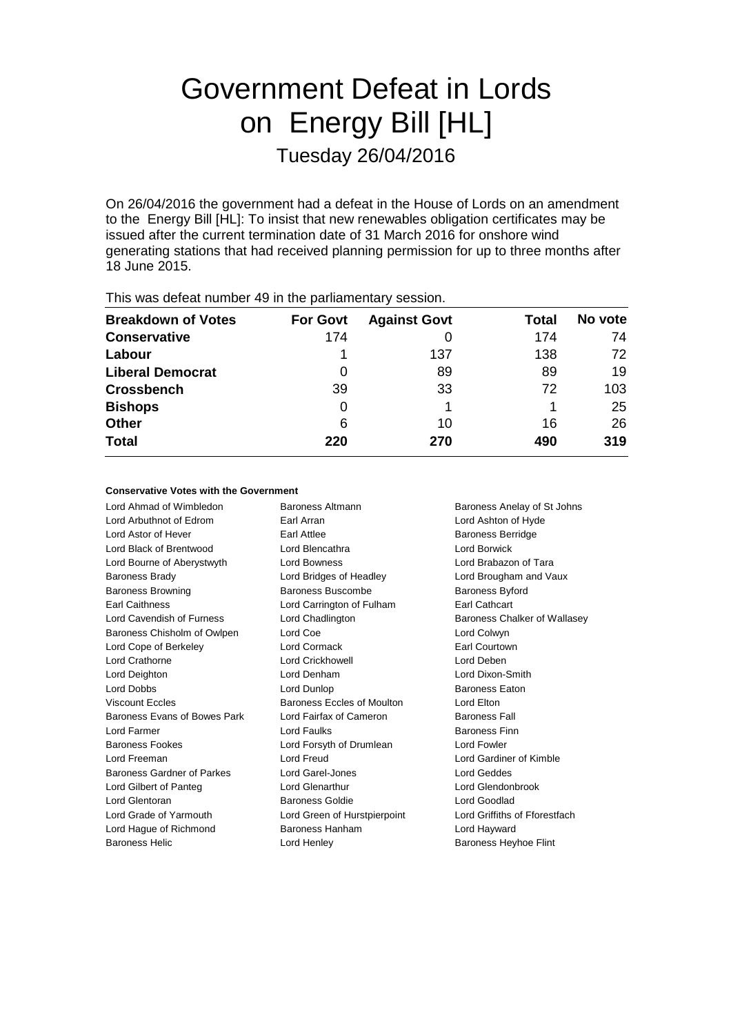# Government Defeat in Lords on Energy Bill [HL] Tuesday 26/04/2016

On 26/04/2016 the government had a defeat in the House of Lords on an amendment to the Energy Bill [HL]: To insist that new renewables obligation certificates may be issued after the current termination date of 31 March 2016 for onshore wind generating stations that had received planning permission for up to three months after 18 June 2015.

| This was acreat number to in the parliamentary occording |                 |                     |       |         |
|----------------------------------------------------------|-----------------|---------------------|-------|---------|
| <b>Breakdown of Votes</b>                                | <b>For Govt</b> | <b>Against Govt</b> | Total | No vote |
| <b>Conservative</b>                                      | 174             |                     | 174   | 74      |
| Labour                                                   |                 | 137                 | 138   | 72      |
| <b>Liberal Democrat</b>                                  | 0               | 89                  | 89    | 19      |
| <b>Crossbench</b>                                        | 39              | 33                  | 72    | 103     |
| <b>Bishops</b>                                           | 0               |                     |       | 25      |
| <b>Other</b>                                             | 6               | 10                  | 16    | 26      |
| <b>Total</b>                                             | 220             | 270                 | 490   | 319     |
|                                                          |                 |                     |       |         |

This was defeat number 49 in the parliamentary session.

## **Conservative Votes with the Government**

Lord Ahmad of Wimbledon Baroness Altmann Baroness Anelay of St Johns Lord Arbuthnot of Edrom Earl Arran Lord Ashton of Hyde Lord Astor of Hever **Earl Attlee** Earl Attlee **Baroness Berridge** Lord Black of Brentwood Lord Blencathra Lord Borwick Lord Bourne of Aberystwyth Lord Bowness Lord Brabazon of Tara Baroness Brady Lord Bridges of Headley Lord Brougham and Vaux Baroness Browning **Baroness Buscombe** Baroness Byford Earl Caithness Lord Carrington of Fulham Earl Cathcart Lord Cavendish of Furness Lord Chadlington **Baroness Chalker of Wallasey** Baroness Chisholm of Owlpen Lord Coe Lord Colwyn Lord Cope of Berkeley **Lord Cormack** Earl Courtown Lord Crathorne Lord Crickhowell Lord Deben Lord Deighton Lord Denham Lord Dixon-Smith Lord Dobbs **Lord Dunlop Compared Baroness Eaton** Viscount Eccles **Baroness Eccles of Moulton** Lord Elton Baroness Evans of Bowes Park Lord Fairfax of Cameron Baroness Fall Lord Farmer **Lord Faulks Baroness Finn** Baroness Fookes **Lord Forsyth of Drumlean** Lord Fowler Lord Freeman Lord Freud Lord Gardiner of Kimble Baroness Gardner of Parkes Lord Garel-Jones Lord Geddes Lord Gilbert of Panteg Lord Glenarthur Lord Glendonbrook Lord Glentoran Baroness Goldie Lord Goodlad Lord Grade of Yarmouth Lord Green of Hurstpierpoint Lord Griffiths of Fforestfach Lord Hague of Richmond **Baroness Hanham Baroness Hanham** Lord Hayward

Baroness Helic Lord Henley Baroness Heyhoe Flint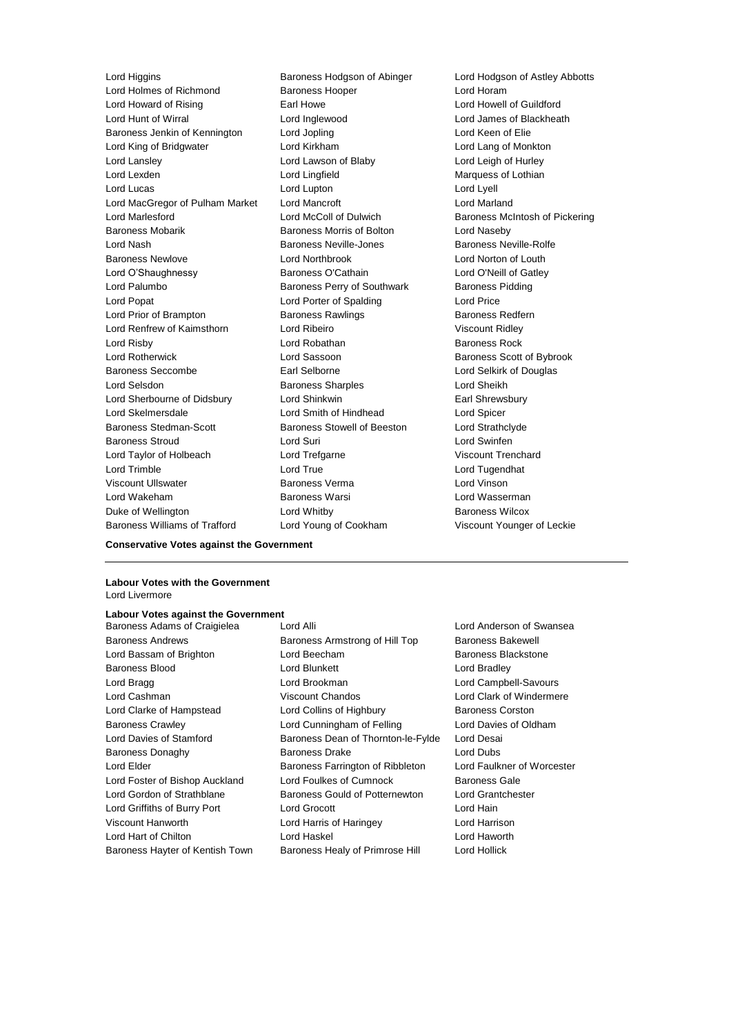Lord Holmes of Richmond Baroness Hooper Cord Horam Lord Howard of Rising Earl Howe Lord Howell of Guildford Lord Hunt of Wirral Lord Inglewood Lord James of Blackheath Baroness Jenkin of Kennington Lord Jopling Lord Keen of Elie Lord King of Bridgwater Lord Kirkham Lord Lang of Monkton Lord Lansley Lord Lawson of Blaby Lord Leigh of Hurley Lord Lexden Lord Lingfield Marquess of Lothian Lord Lucas Lord Lupton Lord Lyell Lord MacGregor of Pulham Market Lord Mancroft Lord Marland Lord Marlesford Lord McColl of Dulwich Baroness McIntosh of Pickering Baroness Mobarik Baroness Morris of Bolton Lord Naseby Lord Nash **Baroness Neville-Jones** Baroness Neville-Rolfe Baroness Newlove Lord Northbrook Lord Norton of Louth Lord O'Shaughnessy Baroness O'Cathain Lord O'Neill of Gatley Lord Palumbo **Baroness Perry of Southwark** Baroness Pidding Lord Popat Lord Porter of Spalding Lord Price Lord Prior of Brampton **Baroness Rawlings** Baroness Redfern Lord Renfrew of Kaimsthorn Lord Ribeiro **Viscount Ridley** Viscount Ridley Lord Risby **Lord Robathan** Baroness Rock Lord Rotherwick Lord Sassoon Baroness Scott of Bybrook Baroness Seccombe **Earl Selborne** Earl Selborne Lord Selkirk of Douglas Lord Selsdon Baroness Sharples Lord Sheikh Lord Sherbourne of Didsbury Lord Shinkwin **Earl Shinkwin** Earl Shrewsbury Lord Skelmersdale Lord Smith of Hindhead Lord Spicer Baroness Stedman-Scott Baroness Stowell of Beeston Lord Strathclyde Baroness Stroud Lord Suri Lord Swinfen Lord Taylor of Holbeach Lord Trefgarne Viscount Trenchard Lord Trimble Lord True Lord Tugendhat Viscount Ullswater Baroness Verma Lord Vinson Lord Wakeham Baroness Warsi Lord Wasserman Duke of Wellington **Baroness Wilcox** Lord Whitby **Baroness Wilcox** Baroness Williams of Trafford Lord Young of Cookham Viscount Younger of Leckie

Lord Higgins **Baroness Hodgson of Abinger** Lord Hodgson of Astley Abbotts

# **Conservative Votes against the Government**

#### **Labour Votes with the Government** Lord Livermore

#### **Labour Votes against the Government**

Baroness Adams of Craigielea Lord Alli Lord Anderson of Swansea Baroness Andrews **Baroness Armstrong of Hill Top** Baroness Bakewell Lord Bassam of Brighton **Lord Beecham** Baroness Blackstone Baroness Blood **Lord Blunkett** Lord Bradley **Lord Bradley** Lord Bragg Lord Brookman Lord Campbell-Savours Lord Cashman Viscount Chandos Lord Clark of Windermere Lord Clarke of Hampstead Lord Collins of Highbury Baroness Corston Baroness Crawley Lord Cunningham of Felling Lord Davies of Oldham Lord Davies of Stamford Baroness Dean of Thornton-le-Fylde Lord Desai Baroness Donaghy Baroness Drake Lord Dubs Lord Elder **Baroness Farrington of Ribbleton** Lord Faulkner of Worcester Lord Foster of Bishop Auckland Lord Foulkes of Cumnock Baroness Gale Lord Gordon of Strathblane Baroness Gould of Potternewton Lord Grantchester Lord Griffiths of Burry Port Lord Grocott Lord Hain Viscount Hanworth Lord Harris of Haringey Lord Harrison Lord Hart of Chilton Lord Haskel Lord Haworth Baroness Hayter of Kentish Town Baroness Healy of Primrose Hill Lord Hollick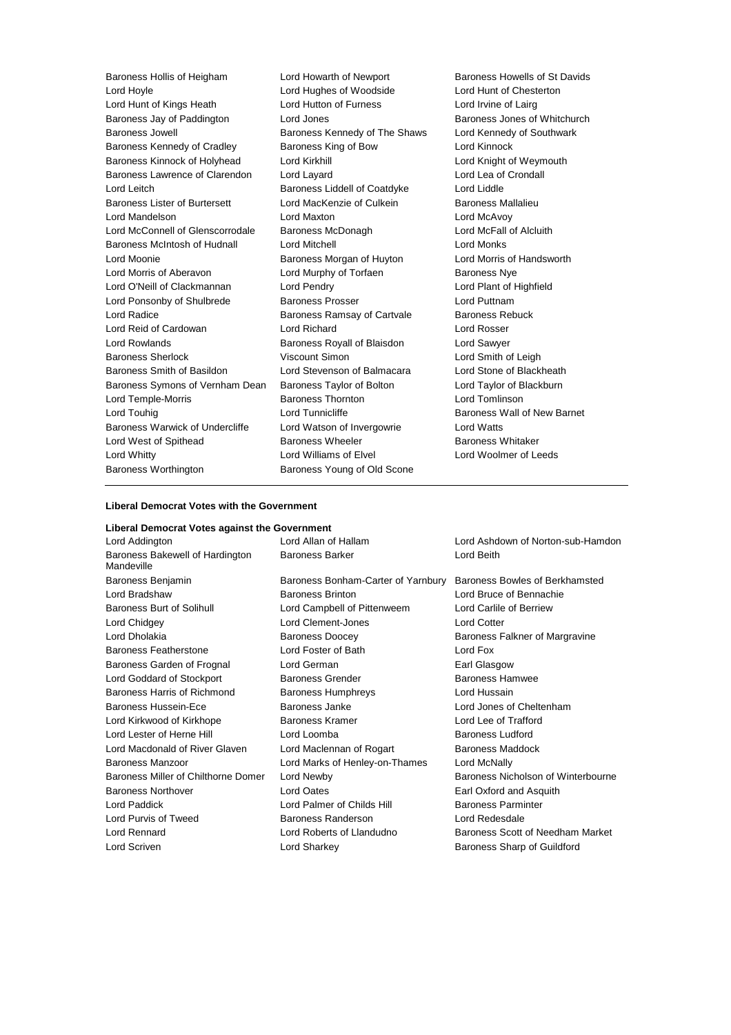Baroness Hollis of Heigham Lord Howarth of Newport Baroness Howells of St Davids Lord Hoyle Lord Hughes of Woodside Lord Hunt of Chesterton Lord Hunt of Kings Heath Lord Hutton of Furness Lord Irvine of Lairg Baroness Jay of Paddington **Lord Jones** Baroness Jones of Whitchurch Baroness Jowell **Baroness Kennedy of The Shaws** Lord Kennedy of Southwark Baroness Kennedy of Cradley **Baroness King of Bow** Lord Kinnock Baroness Kinnock of Holyhead Lord Kirkhill Lord Entertainment Cord Knight of Weymouth Baroness Lawrence of Clarendon Lord Layard Lord Lea of Crondall Lord Leitch **Baroness Liddell of Coatdyke** Lord Liddle Baroness Lister of Burtersett Lord MacKenzie of Culkein Baroness Mallalieu Lord Mandelson Lord Maxton Lord McAvoy Lord McConnell of Glenscorrodale Baroness McDonagh Lord McFall of Alcluith Baroness McIntosh of Hudnall Lord Mitchell Lord Monks Lord Moonie Baroness Morgan of Huyton Lord Morris of Handsworth Lord Morris of Aberavon **Lord Murphy of Torfaen** Baroness Nye Lord O'Neill of Clackmannan Lord Pendry Lord Plant of Highfield Lord Ponsonby of Shulbrede Baroness Prosser Baroness Prosser Lord Puttnam Lord Radice **Baroness Ramsay of Cartvale** Baroness Rebuck Lord Reid of Cardowan Lord Richard Lord Rosser Lord Rowlands Baroness Royall of Blaisdon Lord Sawyer Baroness Sherlock Viscount Simon Lord Smith of Leigh Baroness Smith of Basildon Lord Stevenson of Balmacara Lord Stone of Blackheath Baroness Symons of Vernham Dean Baroness Taylor of Bolton Lord Taylor of Blackburn Lord Temple-Morris Baroness Thornton Lord Tomlinson Lord Touhig **Lord Tunnicliffe Lord Tunnicliffe Baroness Wall of New Barnet** Baroness Warwick of Undercliffe Lord Watson of Invergowrie Lord Watts Lord West of Spithead **Baroness Wheeler** Baroness Whitaker Lord Whitty Lord Williams of Elvel Lord Woolmer of Leeds Baroness Worthington Baroness Young of Old Scone

#### **Liberal Democrat Votes with the Government**

# **Liberal Democrat Votes against the Government** Lord Addington Lord Allan of Hallam Lord Ashdown of Norton-sub-Hamdon Baroness Bakewell of Hardington Mandeville Baroness Barker Lord Beith Baroness Benjamin Baroness Bonham-Carter of Yarnbury Baroness Bowles of Berkhamsted Lord Bradshaw Baroness Brinton Lord Bruce of Bennachie Baroness Burt of Solihull Lord Campbell of Pittenweem Lord Carlile of Berriew Lord Chidgey Lord Clement-Jones Lord Cotter Lord Dholakia **Baroness Doocey** Baroness Falkner of Margravine Baroness Featherstone Lord Foster of Bath Lord Fox Baroness Garden of Frognal Lord German **Earl Glasgow** Earl Glasgow Lord Goddard of Stockport **Baroness Grender** Baroness Hamwee Baroness Harris of Richmond Baroness Humphreys Lord Hussain Baroness Hussein-Ece **Baroness Janke** Baroness Janke Lord Jones of Cheltenham Lord Kirkwood of Kirkhope Baroness Kramer Lord Lee of Trafford Lord Lester of Herne Hill **Lord Loomba Baroness Ludford Baroness Ludford** Lord Macdonald of River Glaven Lord Maclennan of Rogart Baroness Maddock Baroness Manzoor Lord Marks of Henley-on-Thames Lord McNally Baroness Miller of Chilthorne Domer Lord Newby **Baroness Nicholson of Winterbourne** Baroness Northover Lord Oates Earl Oxford and Asquith Lord Paddick Lord Palmer of Childs Hill Baroness Parminter Lord Purvis of Tweed Baroness Randerson Lord Redesdale Lord Rennard Lord Roberts of Llandudno Baroness Scott of Needham Market Lord Scriven **Lord Sharkey Community** Lord Sharp of Guildford Baroness Sharp of Guildford